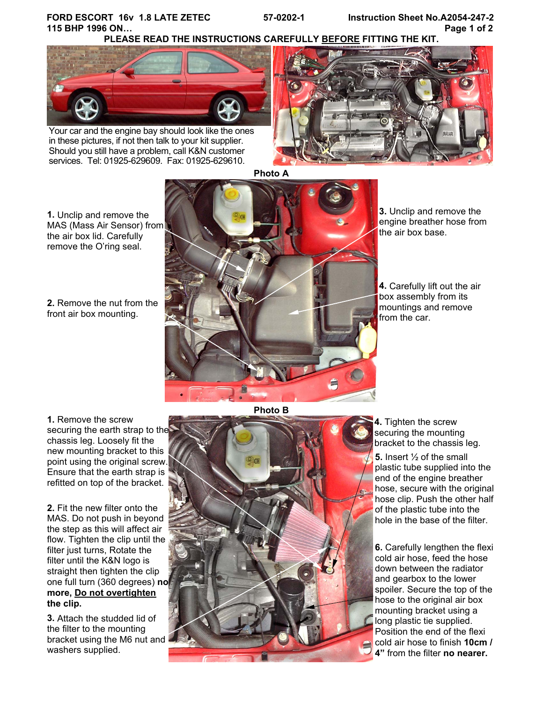# **FORD ESCORT 16v 1.8 LATE ZETEC 57-0202-1 Instruction Sheet No.A2054-247-2 115 BHP 1996 ON… Page 1 of 2**

**PLEASE READ THE INSTRUCTIONS CAREFULLY BEFORE FITTING THE KIT.** 



Your car and the engine bay should look like the ones in these pictures, if not then talk to your kit supplier. Should you still have a problem, call K&N customer services. Tel: 01925-629609. Fax: 01925-629610.



**Photo A** 

**1.** Unclip and remove the MAS (Mass Air Sensor) from the air box lid. Carefully remove the O'ring seal.

**2.** Remove the nut from the front air box mounting.



**3.** Unclip and remove the engine breather hose from the air box base.

**4.** Carefully lift out the air box assembly from its mountings and remove from the car.

**1.** Remove the screw securing the earth strap to the chassis leg. Loosely fit the new mounting bracket to this point using the original screw. Ensure that the earth strap is refitted on top of the bracket.

**2.** Fit the new filter onto the MAS. Do not push in beyond the step as this will affect air flow. Tighten the clip until the filter just turns, Rotate the filter until the K&N logo is straight then tighten the clip one full turn (360 degrees) **no more, Do not overtighten the clip.**

**3.** Attach the studded lid of the filter to the mounting bracket using the M6 nut and washers supplied.

**Photo B** 



**4.** Tighten the screw securing the mounting bracket to the chassis leg.

**5.** Insert ½ of the small plastic tube supplied into the end of the engine breather hose, secure with the original hose clip. Push the other half of the plastic tube into the hole in the base of the filter.

**6.** Carefully lengthen the flexi cold air hose, feed the hose down between the radiator and gearbox to the lower spoiler. Secure the top of the hose to the original air box mounting bracket using a long plastic tie supplied. Position the end of the flexi cold air hose to finish **10cm / 4"** from the filter **no nearer.**